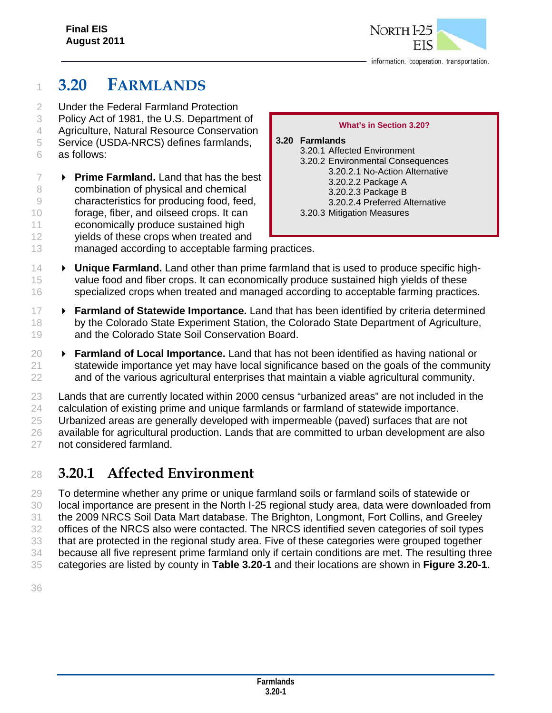

information. cooperation. transportation.

# **3.20 FARMLANDS**

- Under the Federal Farmland Protection
- Policy Act of 1981, the U.S. Department of
- Agriculture, Natural Resource Conservation
- Service (USDA-NRCS) defines farmlands,
- as follows:
- **Prime Farmland.** Land that has the best combination of physical and chemical characteristics for producing food, feed, forage, fiber, and oilseed crops. It can economically produce sustained high yields of these crops when treated and

#### **What's in Section 3.20?**

#### **3.20 Farmlands**  3.20.1 Affected Environment 3.20.2 Environmental Consequences 3.20.2.1 No-Action Alternative 3.20.2.2 Package A 3.20.2.3 Package B 3.20.2.4 Preferred Alternative 3.20.3 Mitigation Measures

- 13 managed according to acceptable farming practices.
- **Unique Farmland.** Land other than prime farmland that is used to produce specific high- value food and fiber crops. It can economically produce sustained high yields of these specialized crops when treated and managed according to acceptable farming practices.
- **Farmland of Statewide Importance.** Land that has been identified by criteria determined 18 by the Colorado State Experiment Station, the Colorado State Department of Agriculture, 19 and the Colorado State Soil Conservation Board.
- **Farmland of Local Importance.** Land that has not been identified as having national or statewide importance yet may have local significance based on the goals of the community and of the various agricultural enterprises that maintain a viable agricultural community.
- Lands that are currently located within 2000 census "urbanized areas" are not included in the calculation of existing prime and unique farmlands or farmland of statewide importance.
- Urbanized areas are generally developed with impermeable (paved) surfaces that are not

available for agricultural production. Lands that are committed to urban development are also

not considered farmland.

# **3.20.1 Affected Environment**

 To determine whether any prime or unique farmland soils or farmland soils of statewide or local importance are present in the North I-25 regional study area, data were downloaded from the 2009 NRCS Soil Data Mart database. The Brighton, Longmont, Fort Collins, and Greeley offices of the NRCS also were contacted. The NRCS identified seven categories of soil types that are protected in the regional study area. Five of these categories were grouped together because all five represent prime farmland only if certain conditions are met. The resulting three categories are listed by county in **Table 3.20-1** and their locations are shown in **Figure 3.20-1**.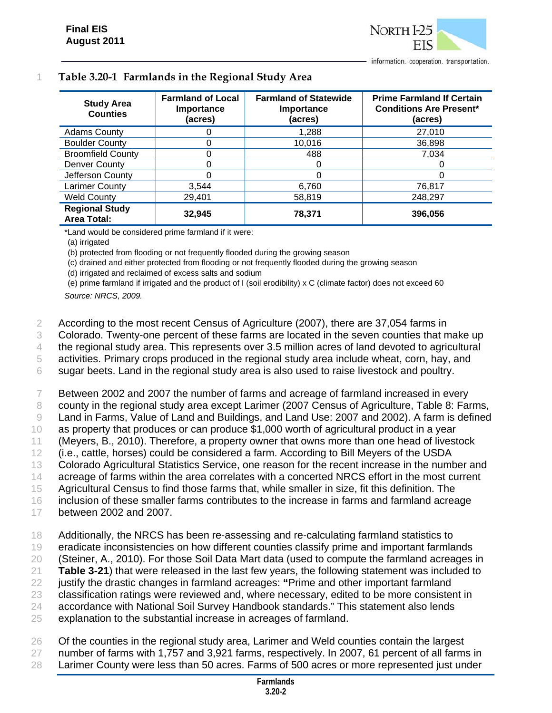|  |  | Table 3.20-1 Farmlands in the Regional Study Area |  |
|--|--|---------------------------------------------------|--|
|--|--|---------------------------------------------------|--|

| <b>Study Area</b><br><b>Counties</b>        | <b>Farmland of Local</b><br>Importance<br>(acres) | <b>Farmland of Statewide</b><br><b>Importance</b><br>(acres) | <b>Prime Farmland If Certain</b><br><b>Conditions Are Present*</b><br>(acres) |
|---------------------------------------------|---------------------------------------------------|--------------------------------------------------------------|-------------------------------------------------------------------------------|
| <b>Adams County</b>                         |                                                   | 1,288                                                        | 27,010                                                                        |
| <b>Boulder County</b>                       |                                                   | 10,016                                                       | 36,898                                                                        |
| <b>Broomfield County</b>                    |                                                   | 488                                                          | 7,034                                                                         |
| Denver County                               |                                                   |                                                              |                                                                               |
| Jefferson County                            |                                                   |                                                              |                                                                               |
| Larimer County                              | 3.544                                             | 6,760                                                        | 76,817                                                                        |
| <b>Weld County</b>                          | 29,401                                            | 58,819                                                       | 248,297                                                                       |
| <b>Regional Study</b><br><b>Area Total:</b> | 32,945                                            | 78,371                                                       | 396,056                                                                       |

\*Land would be considered prime farmland if it were:

(a) irrigated

(b) protected from flooding or not frequently flooded during the growing season

(c) drained and either protected from flooding or not frequently flooded during the growing season

(d) irrigated and reclaimed of excess salts and sodium

(e) prime farmland if irrigated and the product of I (soil erodibility) x C (climate factor) does not exceed 60 *Source: NRCS, 2009.* 

2 According to the most recent Census of Agriculture (2007), there are 37,054 farms in

3 Colorado. Twenty-one percent of these farms are located in the seven counties that make up

4 the regional study area. This represents over 3.5 million acres of land devoted to agricultural

5 activities. Primary crops produced in the regional study area include wheat, corn, hay, and

6 sugar beets. Land in the regional study area is also used to raise livestock and poultry.

7 Between 2002 and 2007 the number of farms and acreage of farmland increased in every

8 county in the regional study area except Larimer (2007 Census of Agriculture, Table 8: Farms, 9 Land in Farms, Value of Land and Buildings, and Land Use: 2007 and 2002). A farm is defined

10 as property that produces or can produce \$1,000 worth of agricultural product in a year

11 (Meyers, B., 2010). Therefore, a property owner that owns more than one head of livestock

12 (i.e., cattle, horses) could be considered a farm. According to Bill Meyers of the USDA

13 Colorado Agricultural Statistics Service, one reason for the recent increase in the number and

14 acreage of farms within the area correlates with a concerted NRCS effort in the most current

15 Agricultural Census to find those farms that, while smaller in size, fit this definition. The

16 inclusion of these smaller farms contributes to the increase in farms and farmland acreage

17 between 2002 and 2007.

18 Additionally, the NRCS has been re-assessing and re-calculating farmland statistics to

19 eradicate inconsistencies on how different counties classify prime and important farmlands

20 (Steiner, A., 2010). For those Soil Data Mart data (used to compute the farmland acreages in

21 **Table 3-21**) that were released in the last few years, the following statement was included to

22 justify the drastic changes in farmland acreages: **"**Prime and other important farmland

23 classification ratings were reviewed and, where necessary, edited to be more consistent in

24 accordance with National Soil Survey Handbook standards." This statement also lends

25 explanation to the substantial increase in acreages of farmland.

26 Of the counties in the regional study area, Larimer and Weld counties contain the largest

27 number of farms with 1,757 and 3,921 farms, respectively. In 2007, 61 percent of all farms in 28 Larimer County were less than 50 acres. Farms of 500 acres or more represented just under

> **Farmlands 3.20-2**

information. cooperation. transportation.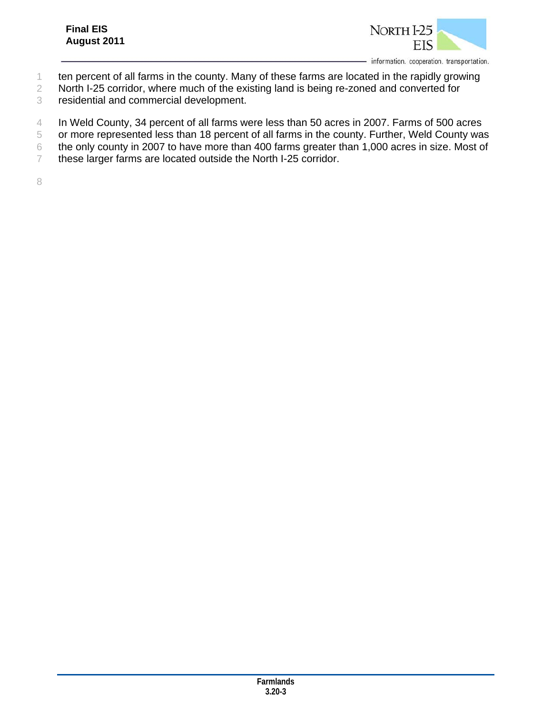

information. cooperation. transportation.

- ten percent of all farms in the county. Many of these farms are located in the rapidly growing
- North I-25 corridor, where much of the existing land is being re-zoned and converted for
- residential and commercial development.
- In Weld County, 34 percent of all farms were less than 50 acres in 2007. Farms of 500 acres
- or more represented less than 18 percent of all farms in the county. Further, Weld County was
- the only county in 2007 to have more than 400 farms greater than 1,000 acres in size. Most of
- these larger farms are located outside the North I-25 corridor.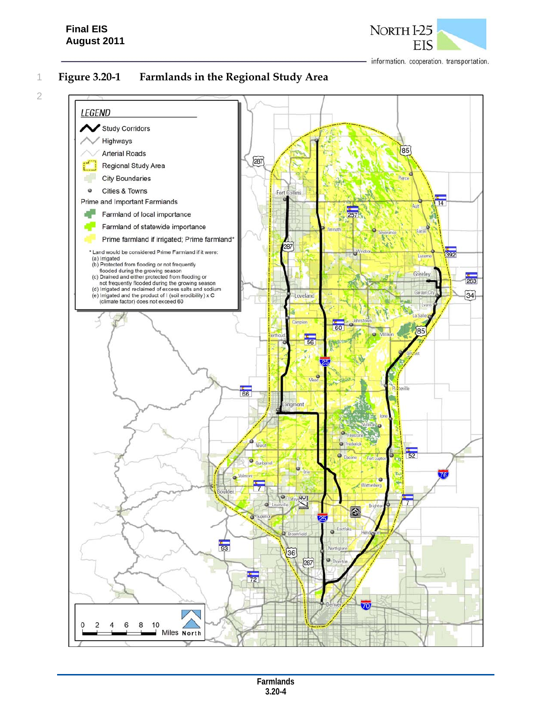## **Final EIS August 2011**



information. cooperation. transportation.

2

# 1 **Figure 3.20-1 Farmlands in the Regional Study Area**

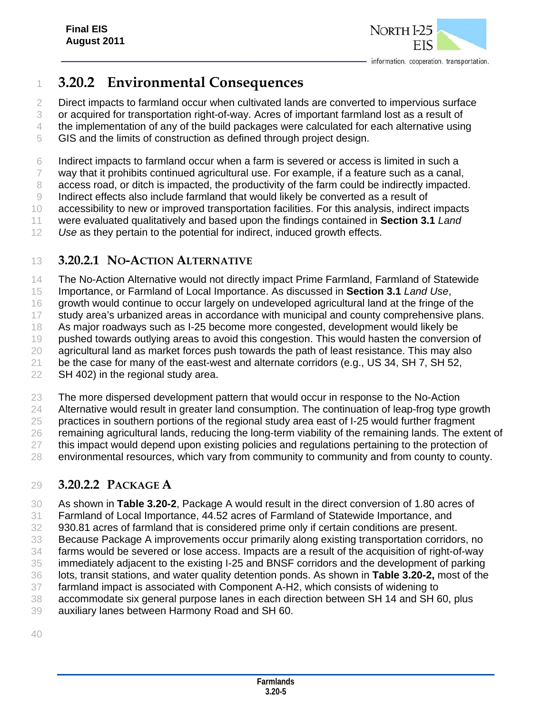

# **3.20.2 Environmental Consequences**

Direct impacts to farmland occur when cultivated lands are converted to impervious surface

or acquired for transportation right-of-way. Acres of important farmland lost as a result of

the implementation of any of the build packages were calculated for each alternative using

GIS and the limits of construction as defined through project design.

Indirect impacts to farmland occur when a farm is severed or access is limited in such a

way that it prohibits continued agricultural use. For example, if a feature such as a canal,

8 access road, or ditch is impacted, the productivity of the farm could be indirectly impacted.

Indirect effects also include farmland that would likely be converted as a result of

accessibility to new or improved transportation facilities. For this analysis, indirect impacts

 were evaluated qualitatively and based upon the findings contained in **Section 3.1** *Land Use* as they pertain to the potential for indirect, induced growth effects.

# **3.20.2.1 NO-ACTION ALTERNATIVE**

The No-Action Alternative would not directly impact Prime Farmland, Farmland of Statewide

Importance, or Farmland of Local Importance. As discussed in **Section 3.1** *Land Use*,

growth would continue to occur largely on undeveloped agricultural land at the fringe of the

study area's urbanized areas in accordance with municipal and county comprehensive plans.

As major roadways such as I-25 become more congested, development would likely be

pushed towards outlying areas to avoid this congestion. This would hasten the conversion of

 agricultural land as market forces push towards the path of least resistance. This may also be the case for many of the east-west and alternate corridors (e.g., US 34, SH 7, SH 52,

SH 402) in the regional study area.

The more dispersed development pattern that would occur in response to the No-Action

Alternative would result in greater land consumption. The continuation of leap-frog type growth

practices in southern portions of the regional study area east of I-25 would further fragment

 remaining agricultural lands, reducing the long-term viability of the remaining lands. The extent of 27 this impact would depend upon existing policies and regulations pertaining to the protection of

environmental resources, which vary from community to community and from county to county.

# **3.20.2.2 PACKAGE A**

As shown in **Table 3.20-2**, Package A would result in the direct conversion of 1.80 acres of

Farmland of Local Importance, 44.52 acres of Farmland of Statewide Importance, and

930.81 acres of farmland that is considered prime only if certain conditions are present.

Because Package A improvements occur primarily along existing transportation corridors, no

farms would be severed or lose access. Impacts are a result of the acquisition of right-of-way

 immediately adjacent to the existing I-25 and BNSF corridors and the development of parking lots, transit stations, and water quality detention ponds. As shown in **Table 3.20-2,** most of the

farmland impact is associated with Component A-H2, which consists of widening to

accommodate six general purpose lanes in each direction between SH 14 and SH 60, plus

auxiliary lanes between Harmony Road and SH 60.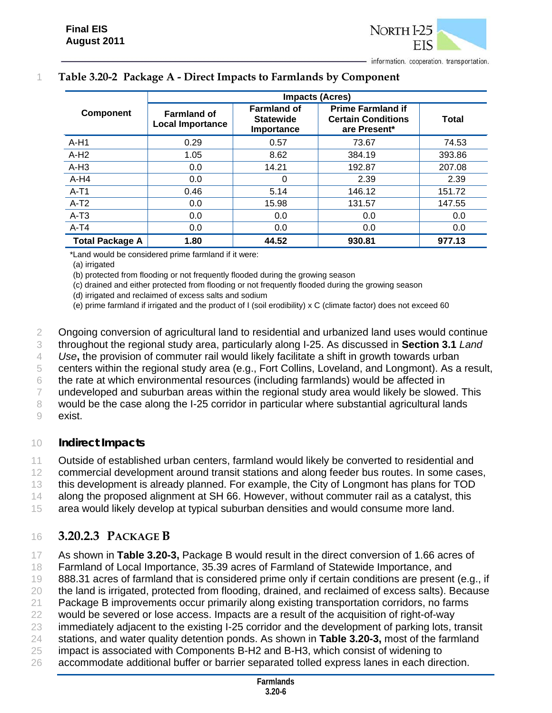

|  | Table 3.20-2 Package A - Direct Impacts to Farmlands by Component |  |  |  |  |  |  |
|--|-------------------------------------------------------------------|--|--|--|--|--|--|
|--|-------------------------------------------------------------------|--|--|--|--|--|--|

|                        |                                               |                                                      | <b>Impacts (Acres)</b>                                                |              |  |  |
|------------------------|-----------------------------------------------|------------------------------------------------------|-----------------------------------------------------------------------|--------------|--|--|
| <b>Component</b>       | <b>Farmland of</b><br><b>Local Importance</b> | <b>Farmland of</b><br><b>Statewide</b><br>Importance | <b>Prime Farmland if</b><br><b>Certain Conditions</b><br>are Present* | <b>Total</b> |  |  |
| $A-H1$                 | 0.29                                          | 0.57                                                 | 73.67                                                                 | 74.53        |  |  |
| $A-H2$                 | 1.05                                          | 8.62                                                 | 384.19                                                                | 393.86       |  |  |
| $A-H3$                 | 0.0                                           | 14.21                                                | 192.87                                                                | 207.08       |  |  |
| $A-H4$                 | 0.0                                           | $\Omega$                                             | 2.39                                                                  | 2.39         |  |  |
| $A-T1$                 | 0.46                                          | 5.14                                                 | 146.12                                                                | 151.72       |  |  |
| $A-T2$                 | 0.0                                           | 15.98                                                | 131.57                                                                | 147.55       |  |  |
| $A-T3$                 | 0.0                                           | 0.0                                                  | 0.0                                                                   | 0.0          |  |  |
| $A-T4$                 | 0.0                                           | 0.0                                                  | 0.0                                                                   | 0.0          |  |  |
| <b>Total Package A</b> | 1.80                                          | 44.52                                                | 930.81                                                                | 977.13       |  |  |

\*Land would be considered prime farmland if it were:

(a) irrigated

(b) protected from flooding or not frequently flooded during the growing season

(c) drained and either protected from flooding or not frequently flooded during the growing season

(d) irrigated and reclaimed of excess salts and sodium

(e) prime farmland if irrigated and the product of I (soil erodibility) x C (climate factor) does not exceed 60

2 Ongoing conversion of agricultural land to residential and urbanized land uses would continue

3 throughout the regional study area, particularly along I-25. As discussed in **Section 3.1** *Land* 

4 *Use***,** the provision of commuter rail would likely facilitate a shift in growth towards urban

5 centers within the regional study area (e.g., Fort Collins, Loveland, and Longmont). As a result,

6 the rate at which environmental resources (including farmlands) would be affected in

7 undeveloped and suburban areas within the regional study area would likely be slowed. This

8 would be the case along the I-25 corridor in particular where substantial agricultural lands

9 exist.

### 10 *Indirect Impacts*

11 Outside of established urban centers, farmland would likely be converted to residential and

12 commercial development around transit stations and along feeder bus routes. In some cases,

13 this development is already planned. For example, the City of Longmont has plans for TOD

14 along the proposed alignment at SH 66. However, without commuter rail as a catalyst, this

15 area would likely develop at typical suburban densities and would consume more land.

# 16 **3.20.2.3 PACKAGE B**

17 As shown in **Table 3.20-3,** Package B would result in the direct conversion of 1.66 acres of

18 Farmland of Local Importance, 35.39 acres of Farmland of Statewide Importance, and

19 888.31 acres of farmland that is considered prime only if certain conditions are present (e.g., if

20 the land is irrigated, protected from flooding, drained, and reclaimed of excess salts). Because

21 Package B improvements occur primarily along existing transportation corridors, no farms

22 would be severed or lose access. Impacts are a result of the acquisition of right-of-way

- 23 immediately adjacent to the existing I-25 corridor and the development of parking lots, transit
- 24 stations, and water quality detention ponds. As shown in **Table 3.20-3,** most of the farmland
- 25 impact is associated with Components B-H2 and B-H3, which consist of widening to
- 26 accommodate additional buffer or barrier separated tolled express lanes in each direction.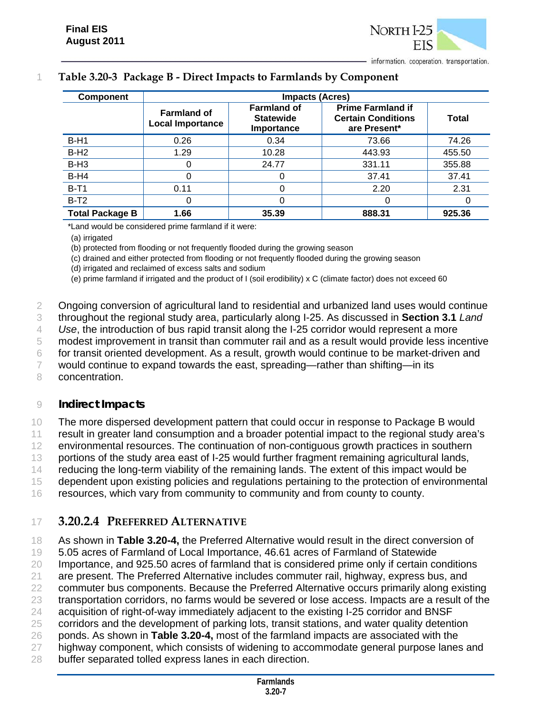

#### 1 **Table 3.20-3 Package B - Direct Impacts to Farmlands by Component**

| <b>Component</b>       |                                               | <b>Impacts (Acres)</b>                               |                                                                       |        |  |
|------------------------|-----------------------------------------------|------------------------------------------------------|-----------------------------------------------------------------------|--------|--|
|                        | <b>Farmland of</b><br><b>Local Importance</b> | <b>Farmland of</b><br><b>Statewide</b><br>Importance | <b>Prime Farmland if</b><br><b>Certain Conditions</b><br>are Present* | Total  |  |
| $B-H1$                 | 0.26                                          | 0.34                                                 | 73.66                                                                 | 74.26  |  |
| $B-H2$                 | 1.29                                          | 10.28                                                | 443.93                                                                | 455.50 |  |
| $B-H3$                 |                                               | 24.77                                                | 331.11                                                                | 355.88 |  |
| $B-H4$                 |                                               |                                                      | 37.41                                                                 | 37.41  |  |
| $B-T1$                 | 0.11                                          |                                                      | 2.20                                                                  | 2.31   |  |
| $B-T2$                 | O                                             | 0                                                    |                                                                       |        |  |
| <b>Total Package B</b> | 1.66                                          | 35.39                                                | 888.31                                                                | 925.36 |  |

\*Land would be considered prime farmland if it were:

(a) irrigated

(b) protected from flooding or not frequently flooded during the growing season

(c) drained and either protected from flooding or not frequently flooded during the growing season

(d) irrigated and reclaimed of excess salts and sodium

(e) prime farmland if irrigated and the product of I (soil erodibility) x C (climate factor) does not exceed 60

2 Ongoing conversion of agricultural land to residential and urbanized land uses would continue

3 throughout the regional study area, particularly along I-25. As discussed in **Section 3.1** *Land* 

4 *Use*, the introduction of bus rapid transit along the I-25 corridor would represent a more

5 modest improvement in transit than commuter rail and as a result would provide less incentive

6 for transit oriented development. As a result, growth would continue to be market-driven and

7 would continue to expand towards the east, spreading—rather than shifting—in its

8 concentration.

#### 9 *Indirect Impacts*

10 The more dispersed development pattern that could occur in response to Package B would 11 result in greater land consumption and a broader potential impact to the regional study area's

12 environmental resources. The continuation of non-contiguous growth practices in southern

13 portions of the study area east of I-25 would further fragment remaining agricultural lands,

14 reducing the long-term viability of the remaining lands. The extent of this impact would be

15 dependent upon existing policies and regulations pertaining to the protection of environmental

16 resources, which vary from community to community and from county to county.

## 17 **3.20.2.4 PREFERRED ALTERNATIVE**

18 As shown in **Table 3.20-4,** the Preferred Alternative would result in the direct conversion of

19 5.05 acres of Farmland of Local Importance, 46.61 acres of Farmland of Statewide

20 Importance, and 925.50 acres of farmland that is considered prime only if certain conditions

21 are present. The Preferred Alternative includes commuter rail, highway, express bus, and

22 commuter bus components. Because the Preferred Alternative occurs primarily along existing

23 transportation corridors, no farms would be severed or lose access. Impacts are a result of the

24 acquisition of right-of-way immediately adjacent to the existing I-25 corridor and BNSF

- 25 corridors and the development of parking lots, transit stations, and water quality detention
- 26 ponds. As shown in **Table 3.20-4,** most of the farmland impacts are associated with the
- 27 highway component, which consists of widening to accommodate general purpose lanes and
- 28 buffer separated tolled express lanes in each direction.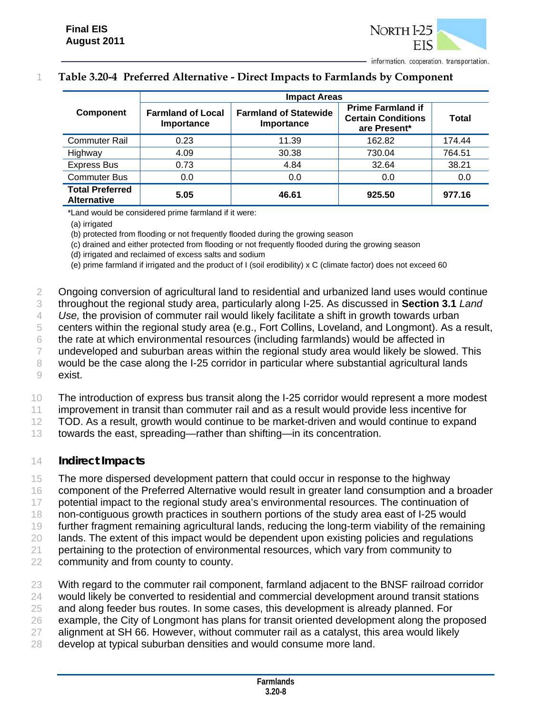## 1 **Table 3.20-4 Preferred Alternative - Direct Impacts to Farmlands by Component**

|                                              | <b>Impact Areas</b>                    |                                            |                                                                       |        |  |
|----------------------------------------------|----------------------------------------|--------------------------------------------|-----------------------------------------------------------------------|--------|--|
| <b>Component</b>                             | <b>Farmland of Local</b><br>Importance | <b>Farmland of Statewide</b><br>Importance | <b>Prime Farmland if</b><br><b>Certain Conditions</b><br>are Present* | Total  |  |
| <b>Commuter Rail</b>                         | 0.23                                   | 11.39                                      | 162.82                                                                | 174.44 |  |
| Highway                                      | 4.09                                   | 30.38                                      | 730.04                                                                | 764.51 |  |
| <b>Express Bus</b>                           | 0.73                                   | 4.84                                       | 32.64                                                                 | 38.21  |  |
| <b>Commuter Bus</b>                          | 0.0                                    | 0.0                                        | 0.0                                                                   | 0.0    |  |
| <b>Total Preferred</b><br><b>Alternative</b> | 5.05                                   | 46.61                                      | 925.50                                                                | 977.16 |  |

\*Land would be considered prime farmland if it were:

(a) irrigated

(b) protected from flooding or not frequently flooded during the growing season

(c) drained and either protected from flooding or not frequently flooded during the growing season

(d) irrigated and reclaimed of excess salts and sodium

(e) prime farmland if irrigated and the product of I (soil erodibility) x C (climate factor) does not exceed 60

2 Ongoing conversion of agricultural land to residential and urbanized land uses would continue

- 3 throughout the regional study area, particularly along I-25. As discussed in **Section 3.1** *Land*
- 4 *Use,* the provision of commuter rail would likely facilitate a shift in growth towards urban
- 5 centers within the regional study area (e.g., Fort Collins, Loveland, and Longmont). As a result,

6 the rate at which environmental resources (including farmlands) would be affected in

- 7 undeveloped and suburban areas within the regional study area would likely be slowed. This 8 would be the case along the I-25 corridor in particular where substantial agricultural lands
- 9 exist.
- 10 The introduction of express bus transit along the I-25 corridor would represent a more modest
- 11 improvement in transit than commuter rail and as a result would provide less incentive for

12 TOD. As a result, growth would continue to be market-driven and would continue to expand

13 towards the east, spreading—rather than shifting—in its concentration.

#### 14 *Indirect Impacts*

15 The more dispersed development pattern that could occur in response to the highway

- 16 component of the Preferred Alternative would result in greater land consumption and a broader
- 17 potential impact to the regional study area's environmental resources. The continuation of
- 18 non-contiguous growth practices in southern portions of the study area east of I-25 would
- 19 further fragment remaining agricultural lands, reducing the long-term viability of the remaining
- 20 lands. The extent of this impact would be dependent upon existing policies and regulations
- 21 pertaining to the protection of environmental resources, which vary from community to
- 22 community and from county to county.
- 23 With regard to the commuter rail component, farmland adjacent to the BNSF railroad corridor 24 would likely be converted to residential and commercial development around transit stations 25 and along feeder bus routes. In some cases, this development is already planned. For 26 example, the City of Longmont has plans for transit oriented development along the proposed 27 alignment at SH 66. However, without commuter rail as a catalyst, this area would likely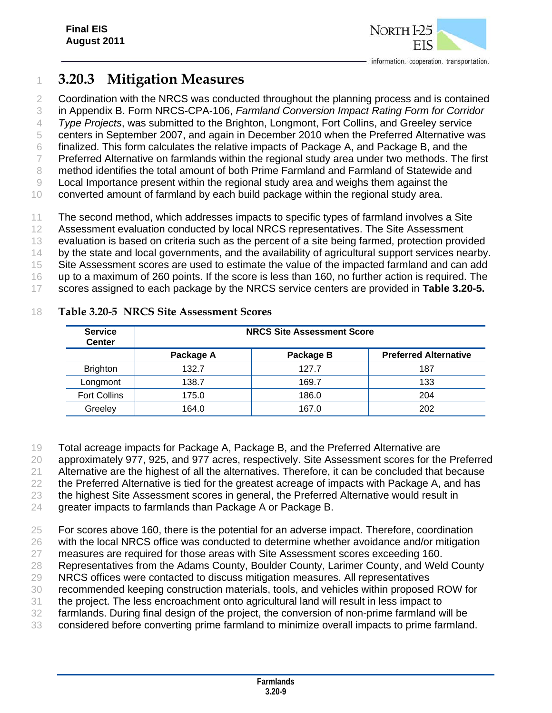

# **3.20.3 Mitigation Measures**

2 Coordination with the NRCS was conducted throughout the planning process and is contained in Appendix B. Form NRCS-CPA-106, *Farmland Conversion Impact Rating Form for Corridor Type Projects*, was submitted to the Brighton, Longmont, Fort Collins, and Greeley service centers in September 2007, and again in December 2010 when the Preferred Alternative was finalized. This form calculates the relative impacts of Package A, and Package B, and the Preferred Alternative on farmlands within the regional study area under two methods. The first method identifies the total amount of both Prime Farmland and Farmland of Statewide and Local Importance present within the regional study area and weighs them against the converted amount of farmland by each build package within the regional study area. The second method, which addresses impacts to specific types of farmland involves a Site

Assessment evaluation conducted by local NRCS representatives. The Site Assessment

evaluation is based on criteria such as the percent of a site being farmed, protection provided

14 by the state and local governments, and the availability of agricultural support services nearby.

Site Assessment scores are used to estimate the value of the impacted farmland and can add

up to a maximum of 260 points. If the score is less than 160, no further action is required. The

scores assigned to each package by the NRCS service centers are provided in **Table 3.20-5.**

| <b>Service</b><br><b>Center</b> |           | <b>NRCS Site Assessment Score</b> |                              |  |  |  |
|---------------------------------|-----------|-----------------------------------|------------------------------|--|--|--|
|                                 | Package A | Package B                         | <b>Preferred Alternative</b> |  |  |  |
| <b>Brighton</b>                 | 132.7     | 127.7                             | 187                          |  |  |  |
| Longmont                        | 138.7     | 169.7                             | 133                          |  |  |  |
| <b>Fort Collins</b>             | 175.0     | 186.0                             | 204                          |  |  |  |
| Greeley                         | 164.0     | 167.0                             | 202                          |  |  |  |

### **Table 3.20-5 NRCS Site Assessment Scores**

Total acreage impacts for Package A, Package B, and the Preferred Alternative are

approximately 977, 925, and 977 acres, respectively. Site Assessment scores for the Preferred

21 Alternative are the highest of all the alternatives. Therefore, it can be concluded that because

22 the Preferred Alternative is tied for the greatest acreage of impacts with Package A, and has

the highest Site Assessment scores in general, the Preferred Alternative would result in

greater impacts to farmlands than Package A or Package B.

For scores above 160, there is the potential for an adverse impact. Therefore, coordination

with the local NRCS office was conducted to determine whether avoidance and/or mitigation

measures are required for those areas with Site Assessment scores exceeding 160.

Representatives from the Adams County, Boulder County, Larimer County, and Weld County

 NRCS offices were contacted to discuss mitigation measures. All representatives recommended keeping construction materials, tools, and vehicles within proposed ROW for

the project. The less encroachment onto agricultural land will result in less impact to

farmlands. During final design of the project, the conversion of non-prime farmland will be

considered before converting prime farmland to minimize overall impacts to prime farmland.